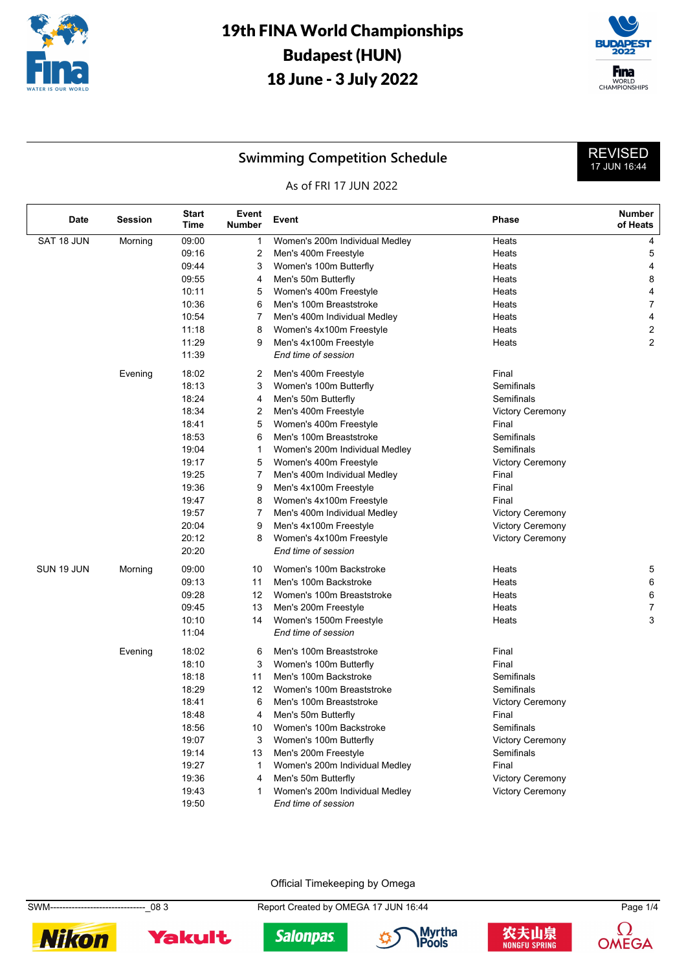



REVISED 17 JUN 16:44

### **Swimming Competition Schedule**

#### As of FRI 17 JUN 2022

| <b>Date</b> | <b>Session</b> | <b>Start</b><br>Time | Event<br><b>Number</b> | Event                                                    | <b>Phase</b>                                       | <b>Number</b><br>of Heats |
|-------------|----------------|----------------------|------------------------|----------------------------------------------------------|----------------------------------------------------|---------------------------|
| SAT 18 JUN  | Morning        | 09:00                | 1                      | Women's 200m Individual Medley                           | Heats                                              | 4                         |
|             |                | 09:16                | 2                      | Men's 400m Freestyle                                     | Heats                                              | 5                         |
|             |                | 09:44                | 3                      | Women's 100m Butterfly                                   | Heats                                              | 4                         |
|             |                | 09:55                | 4                      | Men's 50m Butterfly                                      | Heats                                              | 8                         |
|             |                | 10:11                | 5                      | Women's 400m Freestyle                                   | Heats                                              | 4                         |
|             |                | 10:36                | 6                      | Men's 100m Breaststroke                                  | Heats                                              | $\boldsymbol{7}$          |
|             |                | 10:54                | 7                      | Men's 400m Individual Medley                             | Heats                                              | 4                         |
|             |                | 11:18                | 8                      | Women's 4x100m Freestyle                                 | Heats                                              | $\overline{\mathbf{c}}$   |
|             |                | 11:29                | 9                      | Men's 4x100m Freestyle                                   | Heats                                              | 2                         |
|             |                | 11:39                |                        | End time of session                                      |                                                    |                           |
|             | Evening        | 18:02                | 2                      | Men's 400m Freestyle                                     | Final                                              |                           |
|             |                | 18:13                | 3                      | Women's 100m Butterfly                                   | Semifinals                                         |                           |
|             |                | 18:24                | 4                      | Men's 50m Butterfly                                      | Semifinals                                         |                           |
|             |                | 18:34                | 2                      | Men's 400m Freestyle                                     | <b>Victory Ceremony</b>                            |                           |
|             |                | 18:41                | 5                      | Women's 400m Freestyle                                   | Final                                              |                           |
|             |                | 18:53                | 6                      | Men's 100m Breaststroke                                  | Semifinals                                         |                           |
|             |                | 19:04                | 1                      | Women's 200m Individual Medley                           | Semifinals                                         |                           |
|             |                | 19:17                | 5                      | Women's 400m Freestyle                                   | <b>Victory Ceremony</b>                            |                           |
|             |                | 19:25                | $\overline{7}$         | Men's 400m Individual Medley                             | Final                                              |                           |
|             |                | 19:36                | 9                      | Men's 4x100m Freestyle                                   | Final                                              |                           |
|             |                | 19:47<br>19:57       | 8<br>7                 | Women's 4x100m Freestyle<br>Men's 400m Individual Medley | Final                                              |                           |
|             |                | 20:04                | 9                      | Men's 4x100m Freestyle                                   | <b>Victory Ceremony</b><br><b>Victory Ceremony</b> |                           |
|             |                | 20:12                | 8                      | Women's 4x100m Freestyle                                 | <b>Victory Ceremony</b>                            |                           |
|             |                | 20:20                |                        | End time of session                                      |                                                    |                           |
| SUN 19 JUN  | Morning        | 09:00                | 10                     | Women's 100m Backstroke                                  | Heats                                              | 5                         |
|             |                | 09:13                | 11                     | Men's 100m Backstroke                                    | Heats                                              | 6                         |
|             |                | 09:28                | 12                     | Women's 100m Breaststroke                                | Heats                                              | 6                         |
|             |                | 09:45                | 13                     | Men's 200m Freestyle                                     | Heats                                              | $\overline{7}$            |
|             |                | 10:10                | 14                     | Women's 1500m Freestyle                                  | Heats                                              | 3                         |
|             |                | 11:04                |                        | End time of session                                      |                                                    |                           |
|             | Evening        | 18:02                | 6                      | Men's 100m Breaststroke                                  | Final                                              |                           |
|             |                | 18:10                | 3                      | Women's 100m Butterfly                                   | Final                                              |                           |
|             |                | 18:18                | 11                     | Men's 100m Backstroke                                    | Semifinals                                         |                           |
|             |                | 18:29                | 12                     | Women's 100m Breaststroke                                | Semifinals                                         |                           |
|             |                | 18:41                | 6                      | Men's 100m Breaststroke                                  | <b>Victory Ceremony</b>                            |                           |
|             |                | 18:48                | 4                      | Men's 50m Butterfly                                      | Final                                              |                           |
|             |                | 18:56                | 10                     | Women's 100m Backstroke                                  | Semifinals                                         |                           |
|             |                | 19:07                | 3                      | Women's 100m Butterfly                                   | <b>Victory Ceremony</b>                            |                           |
|             |                | 19:14                | 13                     | Men's 200m Freestyle                                     | Semifinals                                         |                           |
|             |                | 19:27                | $\mathbf{1}$           | Women's 200m Individual Medley                           | Final                                              |                           |
|             |                | 19:36                | 4                      | Men's 50m Butterfly                                      | <b>Victory Ceremony</b>                            |                           |
|             |                | 19:43                | $\mathbf{1}$           | Women's 200m Individual Medley                           | <b>Victory Ceremony</b>                            |                           |
|             |                | 19:50                |                        | End time of session                                      |                                                    |                           |

Official Timekeeping by Omega

SWM-------------------------------\_08 3 Report Created by OMEGA 17 JUN 16:44 Page 1/4











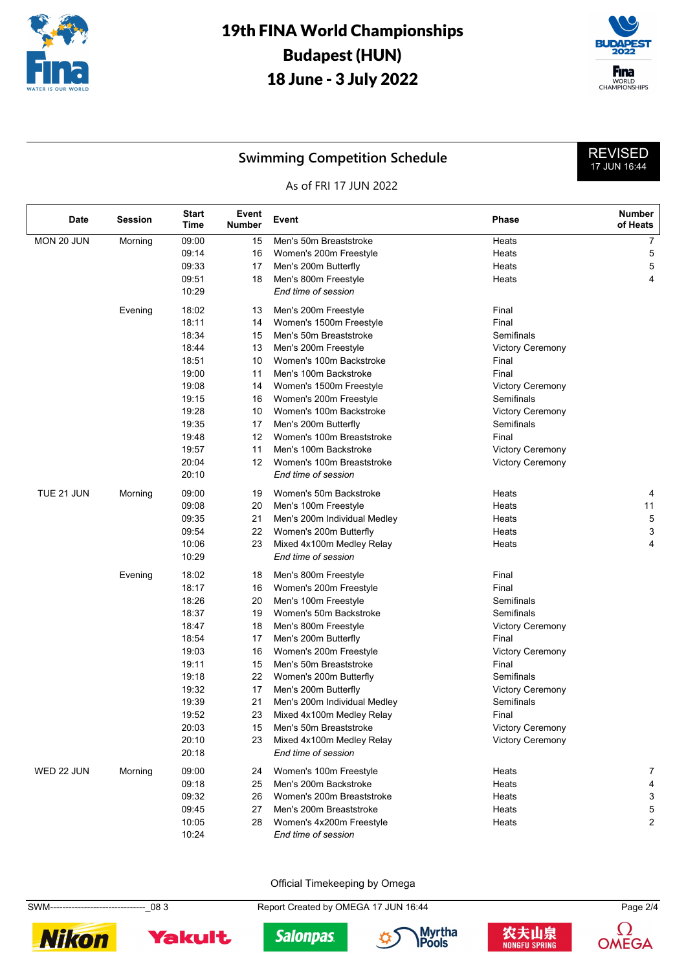



REVISED 17 JUN 16:44

### **Swimming Competition Schedule**

#### As of FRI 17 JUN 2022

| Date       | <b>Session</b> | Start<br>Time | Event<br>Number | Event                        | <b>Phase</b>            | <b>Number</b><br>of Heats |
|------------|----------------|---------------|-----------------|------------------------------|-------------------------|---------------------------|
| MON 20 JUN | Morning        | 09:00         | 15              | Men's 50m Breaststroke       | Heats                   | $\overline{7}$            |
|            |                | 09:14         | 16              | Women's 200m Freestyle       | Heats                   | 5                         |
|            |                | 09:33         | 17              | Men's 200m Butterfly         | Heats                   | 5                         |
|            |                | 09:51         | 18              | Men's 800m Freestyle         | Heats                   | 4                         |
|            |                | 10:29         |                 | End time of session          |                         |                           |
|            | Evening        | 18:02         | 13              | Men's 200m Freestyle         | Final                   |                           |
|            |                | 18:11         | 14              | Women's 1500m Freestyle      | Final                   |                           |
|            |                | 18:34         | 15              | Men's 50m Breaststroke       | Semifinals              |                           |
|            |                | 18:44         | 13              | Men's 200m Freestyle         | <b>Victory Ceremony</b> |                           |
|            |                | 18:51         | 10              | Women's 100m Backstroke      | Final                   |                           |
|            |                | 19:00         | 11              | Men's 100m Backstroke        | Final                   |                           |
|            |                | 19:08         | 14              | Women's 1500m Freestyle      | <b>Victory Ceremony</b> |                           |
|            |                | 19:15         | 16              | Women's 200m Freestyle       | Semifinals              |                           |
|            |                | 19:28         | 10              | Women's 100m Backstroke      | <b>Victory Ceremony</b> |                           |
|            |                | 19:35         | 17              | Men's 200m Butterfly         | Semifinals              |                           |
|            |                | 19:48         | 12              | Women's 100m Breaststroke    | Final                   |                           |
|            |                | 19:57         | 11              | Men's 100m Backstroke        | <b>Victory Ceremony</b> |                           |
|            |                | 20:04         | 12              | Women's 100m Breaststroke    | <b>Victory Ceremony</b> |                           |
|            |                | 20:10         |                 | End time of session          |                         |                           |
| TUE 21 JUN | Morning        | 09:00         | 19              | Women's 50m Backstroke       | Heats                   | 4                         |
|            |                | 09:08         | 20              | Men's 100m Freestyle         | Heats                   | 11                        |
|            |                | 09:35         | 21              | Men's 200m Individual Medley | Heats                   | 5                         |
|            |                | 09:54         | 22              | Women's 200m Butterfly       | Heats                   | 3                         |
|            |                | 10:06         | 23              | Mixed 4x100m Medley Relay    | Heats                   | 4                         |
|            |                | 10:29         |                 | End time of session          |                         |                           |
|            | Evening        | 18:02         | 18              | Men's 800m Freestyle         | Final                   |                           |
|            |                | 18:17         | 16              | Women's 200m Freestyle       | Final                   |                           |
|            |                | 18:26         | 20              | Men's 100m Freestyle         | Semifinals              |                           |
|            |                | 18:37         | 19              | Women's 50m Backstroke       | Semifinals              |                           |
|            |                | 18:47         | 18              | Men's 800m Freestyle         | <b>Victory Ceremony</b> |                           |
|            |                | 18:54         | 17              | Men's 200m Butterfly         | Final                   |                           |
|            |                | 19:03         | 16              | Women's 200m Freestyle       | <b>Victory Ceremony</b> |                           |
|            |                | 19:11         | 15              | Men's 50m Breaststroke       | Final                   |                           |
|            |                | 19:18         | 22              | Women's 200m Butterfly       | Semifinals              |                           |
|            |                | 19:32         | 17              | Men's 200m Butterfly         | <b>Victory Ceremony</b> |                           |
|            |                | 19:39         | 21              | Men's 200m Individual Medley | Semifinals              |                           |
|            |                | 19:52         | 23              | Mixed 4x100m Medley Relay    | Final                   |                           |
|            |                | 20:03         | 15              | Men's 50m Breaststroke       | Victory Ceremony        |                           |
|            |                | 20:10         | 23              | Mixed 4x100m Medley Relay    | <b>Victory Ceremony</b> |                           |
|            |                | 20:18         |                 | End time of session          |                         |                           |
| WED 22 JUN | Morning        | 09:00         | 24              | Women's 100m Freestyle       | Heats                   | 7                         |
|            |                | 09:18         | 25              | Men's 200m Backstroke        | Heats                   | 4                         |
|            |                | 09:32         | 26              | Women's 200m Breaststroke    | Heats                   | 3                         |
|            |                | 09:45         | 27              | Men's 200m Breaststroke      | Heats                   | 5                         |
|            |                | 10:05         | 28              | Women's 4x200m Freestyle     | Heats                   | $\overline{c}$            |
|            |                | 10:24         |                 | End time of session          |                         |                           |

Official Timekeeping by Omega

SWM-------------------------------\_08 3 Report Created by OMEGA 17 JUN 16:44 Page 2/4











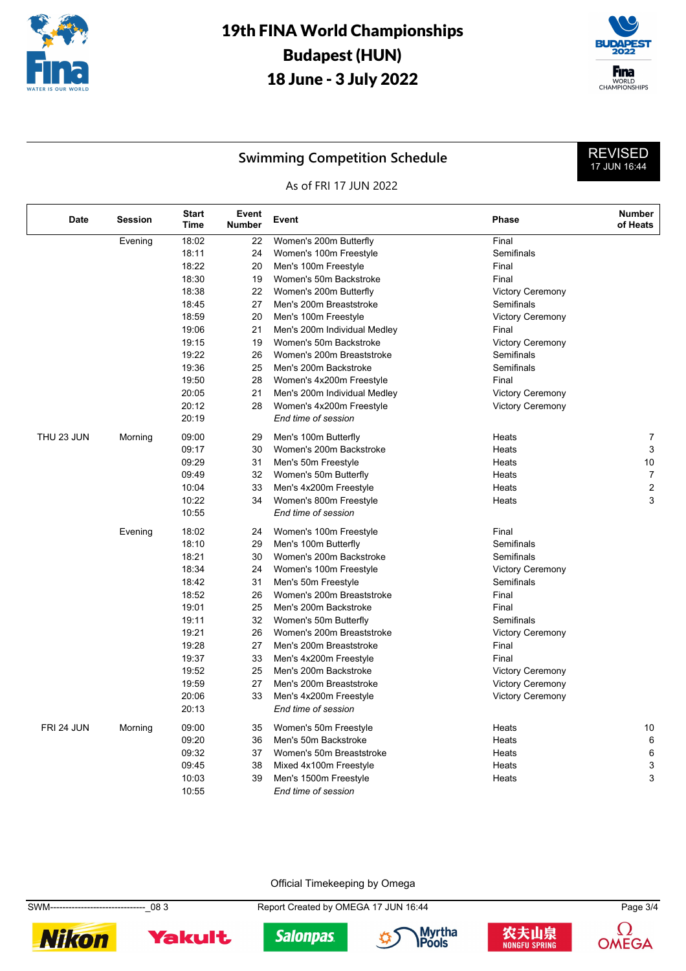



REVISED 17 JUN 16:44

### **Swimming Competition Schedule**

#### As of FRI 17 JUN 2022

| <b>Date</b> | <b>Session</b> | <b>Start</b><br><b>Time</b> | Event<br><b>Number</b> | Event                        | <b>Phase</b>            | <b>Number</b><br>of Heats |
|-------------|----------------|-----------------------------|------------------------|------------------------------|-------------------------|---------------------------|
|             | Evening        | 18:02                       | 22                     | Women's 200m Butterfly       | Final                   |                           |
|             |                | 18:11                       | 24                     | Women's 100m Freestyle       | Semifinals              |                           |
|             |                | 18:22                       | 20                     | Men's 100m Freestyle         | Final                   |                           |
|             |                | 18:30                       | 19                     | Women's 50m Backstroke       | Final                   |                           |
|             |                | 18:38                       | 22                     | Women's 200m Butterfly       | <b>Victory Ceremony</b> |                           |
|             |                | 18:45                       | 27                     | Men's 200m Breaststroke      | Semifinals              |                           |
|             |                | 18:59                       | 20                     | Men's 100m Freestyle         | <b>Victory Ceremony</b> |                           |
|             |                | 19:06                       | 21                     | Men's 200m Individual Medley | Final                   |                           |
|             |                | 19:15                       | 19                     | Women's 50m Backstroke       | <b>Victory Ceremony</b> |                           |
|             |                | 19:22                       | 26                     | Women's 200m Breaststroke    | Semifinals              |                           |
|             |                | 19:36                       | 25                     | Men's 200m Backstroke        | Semifinals              |                           |
|             |                | 19:50                       | 28                     | Women's 4x200m Freestyle     | Final                   |                           |
|             |                | 20:05                       | 21                     | Men's 200m Individual Medley | <b>Victory Ceremony</b> |                           |
|             |                | 20:12                       | 28                     | Women's 4x200m Freestyle     | <b>Victory Ceremony</b> |                           |
|             |                | 20:19                       |                        | End time of session          |                         |                           |
| THU 23 JUN  | Morning        | 09:00                       | 29                     | Men's 100m Butterfly         | Heats                   | 7                         |
|             |                | 09:17                       | 30                     | Women's 200m Backstroke      | Heats                   | 3                         |
|             |                | 09:29                       | 31                     | Men's 50m Freestyle          | Heats                   | 10                        |
|             |                | 09:49                       | 32                     | Women's 50m Butterfly        | Heats                   | $\overline{7}$            |
|             |                | 10:04                       | 33                     | Men's 4x200m Freestyle       | Heats                   | $\overline{c}$            |
|             |                | 10:22                       | 34                     | Women's 800m Freestyle       | Heats                   | 3                         |
|             |                | 10:55                       |                        | End time of session          |                         |                           |
|             | Evening        | 18:02                       | 24                     | Women's 100m Freestyle       | Final                   |                           |
|             |                | 18:10                       | 29                     | Men's 100m Butterfly         | Semifinals              |                           |
|             |                | 18:21                       | 30                     | Women's 200m Backstroke      | Semifinals              |                           |
|             |                | 18:34                       | 24                     | Women's 100m Freestyle       | <b>Victory Ceremony</b> |                           |
|             |                | 18:42                       | 31                     | Men's 50m Freestyle          | Semifinals              |                           |
|             |                | 18:52                       | 26                     | Women's 200m Breaststroke    | Final                   |                           |
|             |                | 19:01                       | 25                     | Men's 200m Backstroke        | Final                   |                           |
|             |                | 19:11                       | 32                     | Women's 50m Butterfly        | Semifinals              |                           |
|             |                | 19:21                       | 26                     | Women's 200m Breaststroke    | <b>Victory Ceremony</b> |                           |
|             |                | 19:28                       | 27                     | Men's 200m Breaststroke      | Final                   |                           |
|             |                | 19:37                       | 33                     | Men's 4x200m Freestyle       | Final                   |                           |
|             |                | 19:52                       | 25                     | Men's 200m Backstroke        | <b>Victory Ceremony</b> |                           |
|             |                | 19:59                       | 27                     | Men's 200m Breaststroke      | <b>Victory Ceremony</b> |                           |
|             |                | 20:06                       | 33                     | Men's 4x200m Freestyle       | <b>Victory Ceremony</b> |                           |
|             |                | 20:13                       |                        | End time of session          |                         |                           |
| FRI 24 JUN  | Morning        | 09:00                       | 35                     | Women's 50m Freestyle        | Heats                   | 10                        |
|             |                | 09:20                       | 36                     | Men's 50m Backstroke         | Heats                   | 6                         |
|             |                | 09:32                       | 37                     | Women's 50m Breaststroke     | Heats                   | 6                         |
|             |                | 09:45                       | 38                     | Mixed 4x100m Freestyle       | Heats                   | 3                         |
|             |                | 10:03                       | 39                     | Men's 1500m Freestyle        | Heats                   | 3                         |
|             |                | 10:55                       |                        | End time of session          |                         |                           |

Official Timekeeping by Omega

SWM-------------------------------\_08 3 Report Created by OMEGA 17 JUN 16:44 Page 3/4